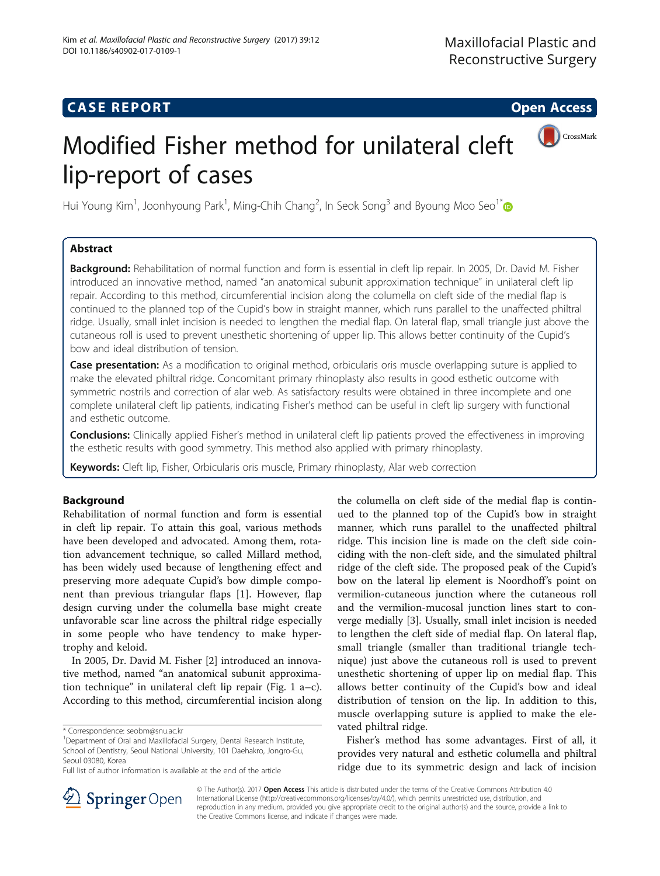## **CASE REPORT CASE REPORT CASE REPORT**



# Modified Fisher method for unilateral cleft lip-report of cases

Hui Young Kim<sup>1</sup>, Joonhyoung Park<sup>1</sup>, Ming-Chih Chang<sup>2</sup>, In Seok Song<sup>3</sup> and Byoung Moo Seo<sup>1[\\*](http://orcid.org/0000-0002-3798-1987)</sup>

## Abstract

Background: Rehabilitation of normal function and form is essential in cleft lip repair. In 2005, Dr. David M. Fisher introduced an innovative method, named "an anatomical subunit approximation technique" in unilateral cleft lip repair. According to this method, circumferential incision along the columella on cleft side of the medial flap is continued to the planned top of the Cupid's bow in straight manner, which runs parallel to the unaffected philtral ridge. Usually, small inlet incision is needed to lengthen the medial flap. On lateral flap, small triangle just above the cutaneous roll is used to prevent unesthetic shortening of upper lip. This allows better continuity of the Cupid's bow and ideal distribution of tension.

Case presentation: As a modification to original method, orbicularis oris muscle overlapping suture is applied to make the elevated philtral ridge. Concomitant primary rhinoplasty also results in good esthetic outcome with symmetric nostrils and correction of alar web. As satisfactory results were obtained in three incomplete and one complete unilateral cleft lip patients, indicating Fisher's method can be useful in cleft lip surgery with functional and esthetic outcome.

Conclusions: Clinically applied Fisher's method in unilateral cleft lip patients proved the effectiveness in improving the esthetic results with good symmetry. This method also applied with primary rhinoplasty.

Keywords: Cleft lip, Fisher, Orbicularis oris muscle, Primary rhinoplasty, Alar web correction

## Background

Rehabilitation of normal function and form is essential in cleft lip repair. To attain this goal, various methods have been developed and advocated. Among them, rotation advancement technique, so called Millard method, has been widely used because of lengthening effect and preserving more adequate Cupid's bow dimple component than previous triangular flaps [[1](#page-4-0)]. However, flap design curving under the columella base might create unfavorable scar line across the philtral ridge especially in some people who have tendency to make hypertrophy and keloid.

In 2005, Dr. David M. Fisher [[2](#page-4-0)] introduced an innovative method, named "an anatomical subunit approximation technique" in unilateral cleft lip repair (Fig. [1 a](#page-1-0)–c). According to this method, circumferential incision along

the columella on cleft side of the medial flap is continued to the planned top of the Cupid's bow in straight manner, which runs parallel to the unaffected philtral ridge. This incision line is made on the cleft side coinciding with the non-cleft side, and the simulated philtral ridge of the cleft side. The proposed peak of the Cupid's bow on the lateral lip element is Noordhoff's point on vermilion-cutaneous junction where the cutaneous roll and the vermilion-mucosal junction lines start to converge medially [\[3](#page-4-0)]. Usually, small inlet incision is needed to lengthen the cleft side of medial flap. On lateral flap, small triangle (smaller than traditional triangle technique) just above the cutaneous roll is used to prevent unesthetic shortening of upper lip on medial flap. This allows better continuity of the Cupid's bow and ideal distribution of tension on the lip. In addition to this, muscle overlapping suture is applied to make the elevated philtral ridge.

Fisher's method has some advantages. First of all, it provides very natural and esthetic columella and philtral ridge due to its symmetric design and lack of incision



© The Author(s). 2017 **Open Access** This article is distributed under the terms of the Creative Commons Attribution 4.0 International License ([http://creativecommons.org/licenses/by/4.0/\)](http://creativecommons.org/licenses/by/4.0/), which permits unrestricted use, distribution, and reproduction in any medium, provided you give appropriate credit to the original author(s) and the source, provide a link to the Creative Commons license, and indicate if changes were made.

<sup>\*</sup> Correspondence: [seobm@snu.ac.kr](mailto:seobm@snu.ac.kr) <sup>1</sup>

<sup>&</sup>lt;sup>1</sup>Department of Oral and Maxillofacial Surgery, Dental Research Institute, School of Dentistry, Seoul National University, 101 Daehakro, Jongro-Gu, Seoul 03080, Korea

Full list of author information is available at the end of the article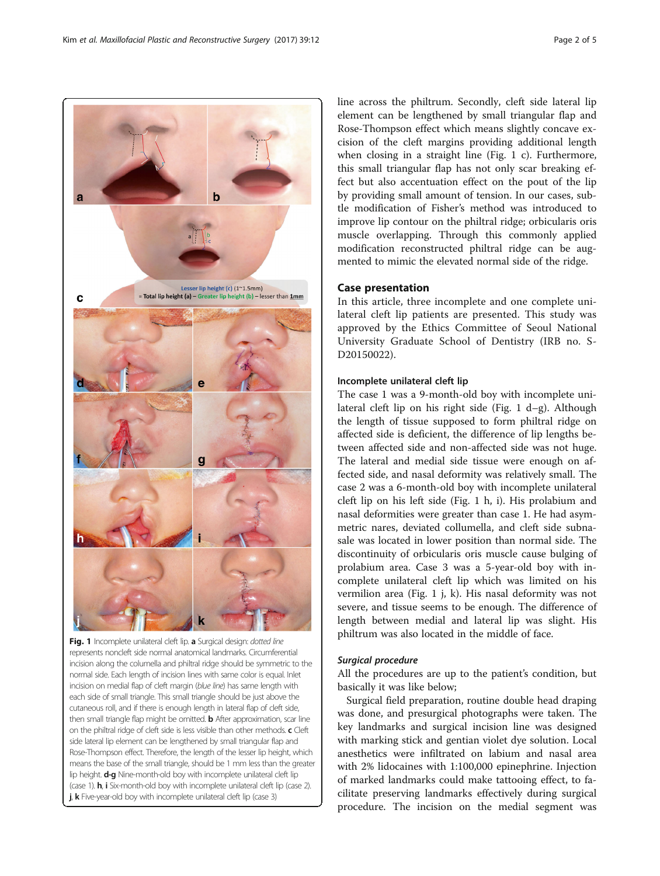<span id="page-1-0"></span>Kim et al. Maxillofacial Plastic and Reconstructive Surgery (2017) 39:12 Page 2 of 5



Fig. 1 Incomplete unilateral cleft lip. a Surgical design: dotted line represents noncleft side normal anatomical landmarks. Circumferential incision along the columella and philtral ridge should be symmetric to the normal side. Each length of incision lines with same color is equal. Inlet incision on medial flap of cleft margin (blue line) has same length with each side of small triangle. This small triangle should be just above the cutaneous roll, and if there is enough length in lateral flap of cleft side, then small triangle flap might be omitted. **b** After approximation, scar line on the philtral ridge of cleft side is less visible than other methods. c Cleft side lateral lip element can be lengthened by small triangular flap and Rose-Thompson effect. Therefore, the length of the lesser lip height, which means the base of the small triangle, should be 1 mm less than the greater lip height. d-g Nine-month-old boy with incomplete unilateral cleft lip (case 1). **h**, **i** Six-month-old boy with incomplete unilateral cleft lip (case 2). j, k Five-year-old boy with incomplete unilateral cleft lip (case 3)

line across the philtrum. Secondly, cleft side lateral lip element can be lengthened by small triangular flap and Rose-Thompson effect which means slightly concave excision of the cleft margins providing additional length when closing in a straight line (Fig. 1 c). Furthermore, this small triangular flap has not only scar breaking effect but also accentuation effect on the pout of the lip by providing small amount of tension. In our cases, subtle modification of Fisher's method was introduced to improve lip contour on the philtral ridge; orbicularis oris muscle overlapping. Through this commonly applied modification reconstructed philtral ridge can be augmented to mimic the elevated normal side of the ridge.

#### Case presentation

In this article, three incomplete and one complete unilateral cleft lip patients are presented. This study was approved by the Ethics Committee of Seoul National University Graduate School of Dentistry (IRB no. S-D20150022).

#### Incomplete unilateral cleft lip

The case 1 was a 9-month-old boy with incomplete unilateral cleft lip on his right side (Fig. 1 d–g). Although the length of tissue supposed to form philtral ridge on affected side is deficient, the difference of lip lengths between affected side and non-affected side was not huge. The lateral and medial side tissue were enough on affected side, and nasal deformity was relatively small. The case 2 was a 6-month-old boy with incomplete unilateral cleft lip on his left side (Fig. 1 h, i). His prolabium and nasal deformities were greater than case 1. He had asymmetric nares, deviated collumella, and cleft side subnasale was located in lower position than normal side. The discontinuity of orbicularis oris muscle cause bulging of prolabium area. Case 3 was a 5-year-old boy with incomplete unilateral cleft lip which was limited on his vermilion area (Fig. 1 j, k). His nasal deformity was not severe, and tissue seems to be enough. The difference of length between medial and lateral lip was slight. His philtrum was also located in the middle of face.

#### Surgical procedure

All the procedures are up to the patient's condition, but basically it was like below;

Surgical field preparation, routine double head draping was done, and presurgical photographs were taken. The key landmarks and surgical incision line was designed with marking stick and gentian violet dye solution. Local anesthetics were infiltrated on labium and nasal area with 2% lidocaines with 1:100,000 epinephrine. Injection of marked landmarks could make tattooing effect, to facilitate preserving landmarks effectively during surgical procedure. The incision on the medial segment was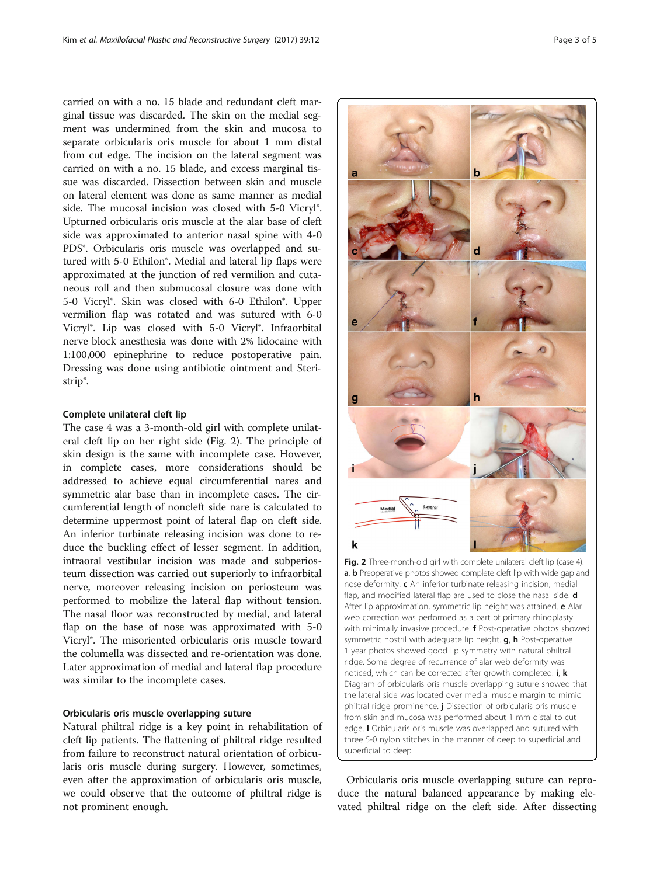<span id="page-2-0"></span>carried on with a no. 15 blade and redundant cleft marginal tissue was discarded. The skin on the medial segment was undermined from the skin and mucosa to separate orbicularis oris muscle for about 1 mm distal from cut edge. The incision on the lateral segment was carried on with a no. 15 blade, and excess marginal tissue was discarded. Dissection between skin and muscle on lateral element was done as same manner as medial side. The mucosal incision was closed with 5-0 Vicryl®. Upturned orbicularis oris muscle at the alar base of cleft side was approximated to anterior nasal spine with 4-0 PDS®. Orbicularis oris muscle was overlapped and sutured with 5-0 Ethilon®. Medial and lateral lip flaps were approximated at the junction of red vermilion and cutaneous roll and then submucosal closure was done with 5-0 Vicryl®. Skin was closed with 6-0 Ethilon®. Upper vermilion flap was rotated and was sutured with 6-0 Vicryl®. Lip was closed with 5-0 Vicryl®. Infraorbital nerve block anesthesia was done with 2% lidocaine with 1:100,000 epinephrine to reduce postoperative pain. Dressing was done using antibiotic ointment and Steristrip®.

#### Complete unilateral cleft lip

The case 4 was a 3-month-old girl with complete unilateral cleft lip on her right side (Fig. 2). The principle of skin design is the same with incomplete case. However, in complete cases, more considerations should be addressed to achieve equal circumferential nares and symmetric alar base than in incomplete cases. The circumferential length of noncleft side nare is calculated to determine uppermost point of lateral flap on cleft side. An inferior turbinate releasing incision was done to reduce the buckling effect of lesser segment. In addition, intraoral vestibular incision was made and subperiosteum dissection was carried out superiorly to infraorbital nerve, moreover releasing incision on periosteum was performed to mobilize the lateral flap without tension. The nasal floor was reconstructed by medial, and lateral flap on the base of nose was approximated with 5-0 Vicryl®. The misoriented orbicularis oris muscle toward the columella was dissected and re-orientation was done. Later approximation of medial and lateral flap procedure was similar to the incomplete cases.

#### Orbicularis oris muscle overlapping suture

Natural philtral ridge is a key point in rehabilitation of cleft lip patients. The flattening of philtral ridge resulted from failure to reconstruct natural orientation of orbicularis oris muscle during surgery. However, sometimes, even after the approximation of orbicularis oris muscle, we could observe that the outcome of philtral ridge is not prominent enough.

d  $\epsilon$ h O Lateral k

Fig. 2 Three-month-old girl with complete unilateral cleft lip (case 4). a, **b** Preoperative photos showed complete cleft lip with wide gap and nose deformity. c An inferior turbinate releasing incision, medial flap, and modified lateral flap are used to close the nasal side. d After lip approximation, symmetric lip height was attained. e Alar web correction was performed as a part of primary rhinoplasty with minimally invasive procedure. f Post-operative photos showed symmetric nostril with adequate lip height. **q**, **h** Post-operative 1 year photos showed good lip symmetry with natural philtral ridge. Some degree of recurrence of alar web deformity was noticed, which can be corrected after growth completed. i, k Diagram of orbicularis oris muscle overlapping suture showed that the lateral side was located over medial muscle margin to mimic philtral ridge prominence. j Dissection of orbicularis oris muscle from skin and mucosa was performed about 1 mm distal to cut edge. l Orbicularis oris muscle was overlapped and sutured with three 5-0 nylon stitches in the manner of deep to superficial and superficial to deep

Orbicularis oris muscle overlapping suture can reproduce the natural balanced appearance by making elevated philtral ridge on the cleft side. After dissecting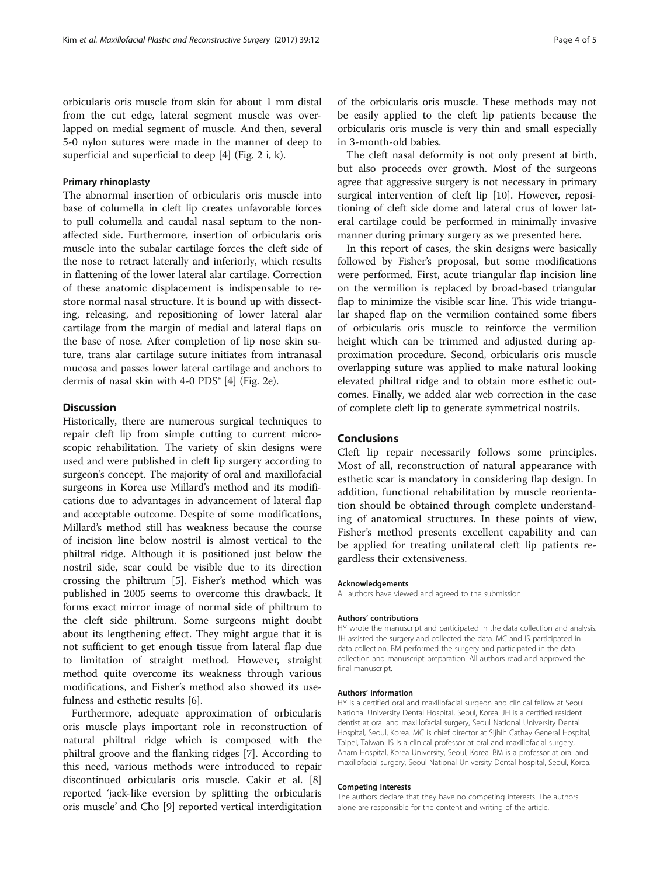orbicularis oris muscle from skin for about 1 mm distal from the cut edge, lateral segment muscle was overlapped on medial segment of muscle. And then, several 5-0 nylon sutures were made in the manner of deep to superficial and superficial to deep [[4](#page-4-0)] (Fig. [2 i, k\)](#page-2-0).

#### Primary rhinoplasty

The abnormal insertion of orbicularis oris muscle into base of columella in cleft lip creates unfavorable forces to pull columella and caudal nasal septum to the nonaffected side. Furthermore, insertion of orbicularis oris muscle into the subalar cartilage forces the cleft side of the nose to retract laterally and inferiorly, which results in flattening of the lower lateral alar cartilage. Correction of these anatomic displacement is indispensable to restore normal nasal structure. It is bound up with dissecting, releasing, and repositioning of lower lateral alar cartilage from the margin of medial and lateral flaps on the base of nose. After completion of lip nose skin suture, trans alar cartilage suture initiates from intranasal mucosa and passes lower lateral cartilage and anchors to dermis of nasal skin with 4-0 PDS® [\[4](#page-4-0)] (Fig. [2e](#page-2-0)).

#### Discussion

Historically, there are numerous surgical techniques to repair cleft lip from simple cutting to current microscopic rehabilitation. The variety of skin designs were used and were published in cleft lip surgery according to surgeon's concept. The majority of oral and maxillofacial surgeons in Korea use Millard's method and its modifications due to advantages in advancement of lateral flap and acceptable outcome. Despite of some modifications, Millard's method still has weakness because the course of incision line below nostril is almost vertical to the philtral ridge. Although it is positioned just below the nostril side, scar could be visible due to its direction crossing the philtrum [\[5\]](#page-4-0). Fisher's method which was published in 2005 seems to overcome this drawback. It forms exact mirror image of normal side of philtrum to the cleft side philtrum. Some surgeons might doubt about its lengthening effect. They might argue that it is not sufficient to get enough tissue from lateral flap due to limitation of straight method. However, straight method quite overcome its weakness through various modifications, and Fisher's method also showed its usefulness and esthetic results [[6\]](#page-4-0).

Furthermore, adequate approximation of orbicularis oris muscle plays important role in reconstruction of natural philtral ridge which is composed with the philtral groove and the flanking ridges [[7\]](#page-4-0). According to this need, various methods were introduced to repair discontinued orbicularis oris muscle. Cakir et al. [\[8](#page-4-0)] reported 'jack-like eversion by splitting the orbicularis oris muscle' and Cho [\[9](#page-4-0)] reported vertical interdigitation

of the orbicularis oris muscle. These methods may not be easily applied to the cleft lip patients because the orbicularis oris muscle is very thin and small especially in 3-month-old babies.

The cleft nasal deformity is not only present at birth, but also proceeds over growth. Most of the surgeons agree that aggressive surgery is not necessary in primary surgical intervention of cleft lip [[10\]](#page-4-0). However, repositioning of cleft side dome and lateral crus of lower lateral cartilage could be performed in minimally invasive manner during primary surgery as we presented here.

In this report of cases, the skin designs were basically followed by Fisher's proposal, but some modifications were performed. First, acute triangular flap incision line on the vermilion is replaced by broad-based triangular flap to minimize the visible scar line. This wide triangular shaped flap on the vermilion contained some fibers of orbicularis oris muscle to reinforce the vermilion height which can be trimmed and adjusted during approximation procedure. Second, orbicularis oris muscle overlapping suture was applied to make natural looking elevated philtral ridge and to obtain more esthetic outcomes. Finally, we added alar web correction in the case of complete cleft lip to generate symmetrical nostrils.

#### Conclusions

Cleft lip repair necessarily follows some principles. Most of all, reconstruction of natural appearance with esthetic scar is mandatory in considering flap design. In addition, functional rehabilitation by muscle reorientation should be obtained through complete understanding of anatomical structures. In these points of view, Fisher's method presents excellent capability and can be applied for treating unilateral cleft lip patients regardless their extensiveness.

#### Acknowledgements

All authors have viewed and agreed to the submission.

#### Authors' contributions

HY wrote the manuscript and participated in the data collection and analysis. JH assisted the surgery and collected the data. MC and IS participated in data collection. BM performed the surgery and participated in the data collection and manuscript preparation. All authors read and approved the final manuscript.

#### Authors' information

HY is a certified oral and maxillofacial surgeon and clinical fellow at Seoul National University Dental Hospital, Seoul, Korea. JH is a certified resident dentist at oral and maxillofacial surgery, Seoul National University Dental Hospital, Seoul, Korea. MC is chief director at Sijhih Cathay General Hospital, Taipei, Taiwan. IS is a clinical professor at oral and maxillofacial surgery, Anam Hospital, Korea University, Seoul, Korea. BM is a professor at oral and maxillofacial surgery, Seoul National University Dental hospital, Seoul, Korea.

#### Competing interests

The authors declare that they have no competing interests. The authors alone are responsible for the content and writing of the article.